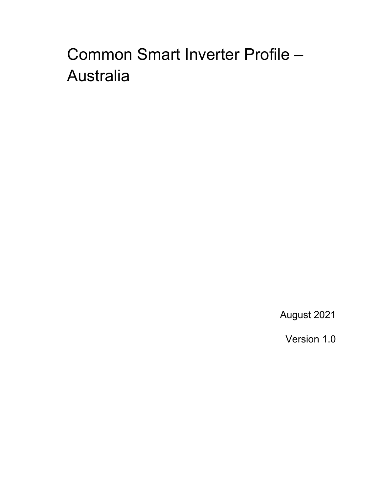# Common Smart Inverter Profile – Australia

August 2021

Version 1.0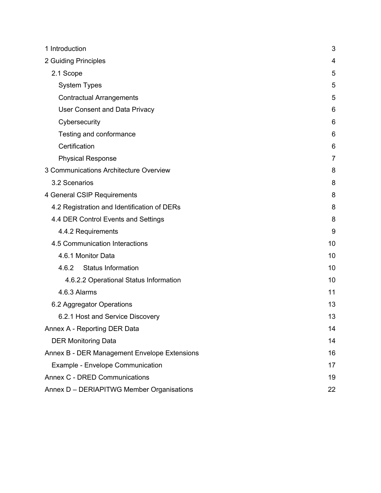| 1 Introduction                               | 3  |  |
|----------------------------------------------|----|--|
| 2 Guiding Principles                         | 4  |  |
| 2.1 Scope                                    | 5  |  |
| <b>System Types</b>                          | 5  |  |
| <b>Contractual Arrangements</b>              | 5  |  |
| <b>User Consent and Data Privacy</b>         | 6  |  |
| Cybersecurity                                | 6  |  |
| Testing and conformance                      | 6  |  |
| Certification                                | 6  |  |
| <b>Physical Response</b>                     | 7  |  |
| 3 Communications Architecture Overview       | 8  |  |
| 3.2 Scenarios                                | 8  |  |
| 4 General CSIP Requirements                  | 8  |  |
| 4.2 Registration and Identification of DERs  | 8  |  |
| 4.4 DER Control Events and Settings          | 8  |  |
| 4.4.2 Requirements                           |    |  |
| 4.5 Communication Interactions               | 10 |  |
| 4.6.1 Monitor Data                           | 10 |  |
| <b>Status Information</b><br>4.6.2           | 10 |  |
| 4.6.2.2 Operational Status Information       | 10 |  |
| 4.6.3 Alarms                                 | 11 |  |
| 6.2 Aggregator Operations                    | 13 |  |
| 6.2.1 Host and Service Discovery             | 13 |  |
| Annex A - Reporting DER Data                 | 14 |  |
| <b>DER Monitoring Data</b>                   | 14 |  |
| Annex B - DER Management Envelope Extensions |    |  |
| Example - Envelope Communication             |    |  |
| Annex C - DRED Communications                |    |  |
| Annex D - DERIAPITWG Member Organisations    | 22 |  |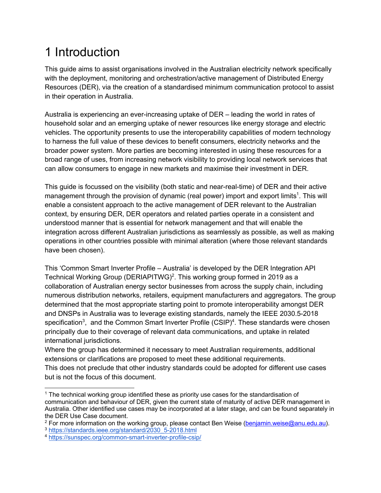## 1 Introduction

This guide aims to assist organisations involved in the Australian electricity network specifically with the deployment, monitoring and orchestration/active management of Distributed Energy Resources (DER), via the creation of a standardised minimum communication protocol to assist in their operation in Australia.

Australia is experiencing an ever-increasing uptake of DER – leading the world in rates of household solar and an emerging uptake of newer resources like energy storage and electric vehicles. The opportunity presents to use the interoperability capabilities of modern technology to harness the full value of these devices to benefit consumers, electricity networks and the broader power system. More parties are becoming interested in using these resources for a broad range of uses, from increasing network visibility to providing local network services that can allow consumers to engage in new markets and maximise their investment in DER.

This guide is focussed on the visibility (both static and near-real-time) of DER and their active management through the provision of dynamic (real power) import and export limits<sup>1</sup>. This will enable a consistent approach to the active management of DER relevant to the Australian context, by ensuring DER, DER operators and related parties operate in a consistent and understood manner that is essential for network management and that will enable the integration across different Australian jurisdictions as seamlessly as possible, as well as making operations in other countries possible with minimal alteration (where those relevant standards have been chosen).

This 'Common Smart Inverter Profile – Australia' is developed by the DER Integration API Technical Working Group (DERIAPITWG)<sup>2</sup>. This working group formed in 2019 as a collaboration of Australian energy sector businesses from across the supply chain, including numerous distribution networks, retailers, equipment manufacturers and aggregators. The group determined that the most appropriate starting point to promote interoperability amongst DER and DNSPs in Australia was to leverage existing standards, namely the IEEE 2030.5-2018 specification<sup>3</sup>, and the Common Smart Inverter Profile (CSIP)<sup>4</sup>. These standards were chosen principally due to their coverage of relevant data communications, and uptake in related international jurisdictions.

Where the group has determined it necessary to meet Australian requirements, additional extensions or clarifications are proposed to meet these additional requirements. This does not preclude that other industry standards could be adopted for different use cases

but is not the focus of this document.

<sup>&</sup>lt;sup>1</sup> The technical working group identified these as priority use cases for the standardisation of communication and behaviour of DER, given the current state of maturity of active DER management in Australia. Other identified use cases may be incorporated at a later stage, and can be found separately in the DER Use Case document.

<sup>&</sup>lt;sup>2</sup> For more information on the working group, please contact Ben Weise (benjamin.weise@anu.edu.au). <sup>3</sup> https://standards.ieee.org/standard/2030\_5-2018.html

<sup>4</sup> https://sunspec.org/common-smart-inverter-profile-csip/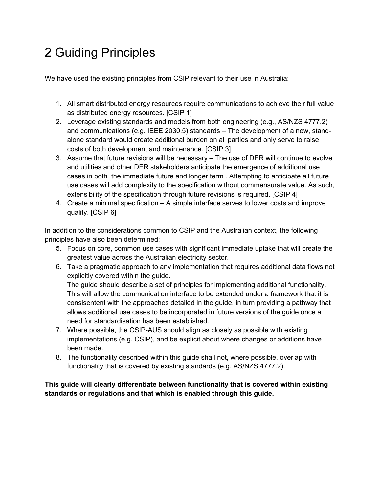## 2 Guiding Principles

We have used the existing principles from CSIP relevant to their use in Australia:

- 1. All smart distributed energy resources require communications to achieve their full value as distributed energy resources. [CSIP 1]
- 2. Leverage existing standards and models from both engineering (e.g., AS/NZS 4777.2) and communications (e.g. IEEE 2030.5) standards – The development of a new, standalone standard would create additional burden on all parties and only serve to raise costs of both development and maintenance. [CSIP 3]
- 3. Assume that future revisions will be necessary The use of DER will continue to evolve and utilities and other DER stakeholders anticipate the emergence of additional use cases in both the immediate future and longer term . Attempting to anticipate all future use cases will add complexity to the specification without commensurate value. As such, extensibility of the specification through future revisions is required. [CSIP 4]
- 4. Create a minimal specification A simple interface serves to lower costs and improve quality. [CSIP 6]

In addition to the considerations common to CSIP and the Australian context, the following principles have also been determined:

- 5. Focus on core, common use cases with significant immediate uptake that will create the greatest value across the Australian electricity sector.
- 6. Take a pragmatic approach to any implementation that requires additional data flows not explicitly covered within the guide. The guide should describe a set of principles for implementing additional functionality.

This will allow the communication interface to be extended under a framework that it is consisentent with the approaches detailed in the guide, in turn providing a pathway that allows additional use cases to be incorporated in future versions of the guide once a need for standardisation has been established.

- 7. Where possible, the CSIP-AUS should align as closely as possible with existing implementations (e.g. CSIP), and be explicit about where changes or additions have been made.
- 8. The functionality described within this guide shall not, where possible, overlap with functionality that is covered by existing standards (e.g. AS/NZS 4777.2).

**This guide will clearly differentiate between functionality that is covered within existing standards or regulations and that which is enabled through this guide.**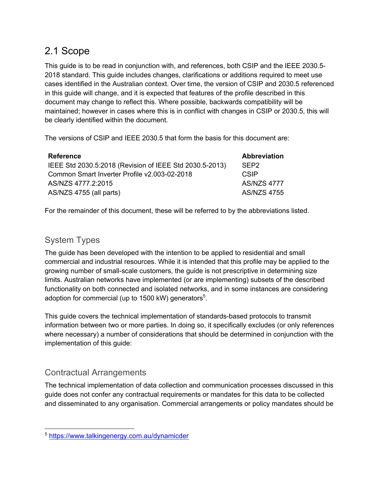### 2.1 Scope

This guide is to be read in conjunction with, and references, both CSIP and the IEEE 2030.5- 2018 standard. This guide includes changes, clarifications or additions required to meet use cases identified in the Australian context. Over time, the version of CSIP and 2030.5 referenced in this guide will change, and it is expected that features of the profile described in this document may change to reflect this. Where possible, backwards compatibility will be maintained; however in cases where this is in conflict with changes in CSIP or 2030.5, this will be clearly identified within the document.

The versions of CSIP and IEEE 2030.5 that form the basis for this document are:

| <b>Reference</b>                                        | Abbreviation       |
|---------------------------------------------------------|--------------------|
| IEEE Std 2030.5:2018 (Revision of IEEE Std 2030.5-2013) | SEP <sub>2</sub>   |
| Common Smart Inverter Profile v2.003-02-2018            | <b>CSIP</b>        |
| AS/NZS 4777.2:2015                                      | <b>AS/NZS 4777</b> |
| AS/NZS 4755 (all parts)                                 | <b>AS/NZS 4755</b> |

For the remainder of this document, these will be referred to by the abbreviations listed.

### System Types

The guide has been developed with the intention to be applied to residential and small commercial and industrial resources. While it is intended that this profile may be applied to the growing number of small-scale customers, the guide is not prescriptive in determining size limits. Australian networks have implemented (or are implementing) subsets of the described functionality on both connected and isolated networks, and in some instances are considering adoption for commercial (up to 1500 kW) generators $5$ .

This guide covers the technical implementation of standards-based protocols to transmit information between two or more parties. In doing so, it specifically excludes (or only references where necessary) a number of considerations that should be determined in conjunction with the implementation of this guide:

### Contractual Arrangements

The technical implementation of data collection and communication processes discussed in this guide does not confer any contractual requirements or mandates for this data to be collected and disseminated to any organisation. Commercial arrangements or policy mandates should be

<sup>5</sup> https://www.talkingenergy.com.au/dynamicder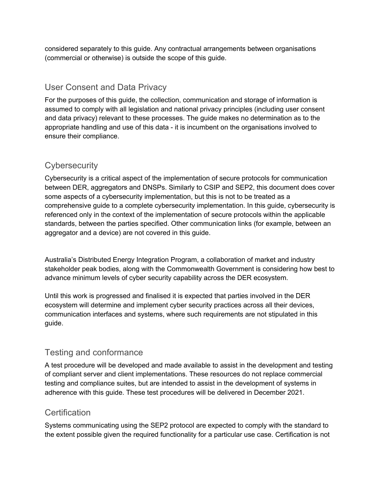considered separately to this guide. Any contractual arrangements between organisations (commercial or otherwise) is outside the scope of this guide.

#### User Consent and Data Privacy

For the purposes of this guide, the collection, communication and storage of information is assumed to comply with all legislation and national privacy principles (including user consent and data privacy) relevant to these processes. The guide makes no determination as to the appropriate handling and use of this data - it is incumbent on the organisations involved to ensure their compliance.

#### **Cybersecurity**

Cybersecurity is a critical aspect of the implementation of secure protocols for communication between DER, aggregators and DNSPs. Similarly to CSIP and SEP2, this document does cover some aspects of a cybersecurity implementation, but this is not to be treated as a comprehensive guide to a complete cybersecurity implementation. In this guide, cybersecurity is referenced only in the context of the implementation of secure protocols within the applicable standards, between the parties specified. Other communication links (for example, between an aggregator and a device) are not covered in this guide.

Australia's Distributed Energy Integration Program, a collaboration of market and industry stakeholder peak bodies, along with the Commonwealth Government is considering how best to advance minimum levels of cyber security capability across the DER ecosystem.

Until this work is progressed and finalised it is expected that parties involved in the DER ecosystem will determine and implement cyber security practices across all their devices, communication interfaces and systems, where such requirements are not stipulated in this guide.

#### Testing and conformance

A test procedure will be developed and made available to assist in the development and testing of compliant server and client implementations. These resources do not replace commercial testing and compliance suites, but are intended to assist in the development of systems in adherence with this guide. These test procedures will be delivered in December 2021.

#### **Certification**

Systems communicating using the SEP2 protocol are expected to comply with the standard to the extent possible given the required functionality for a particular use case. Certification is not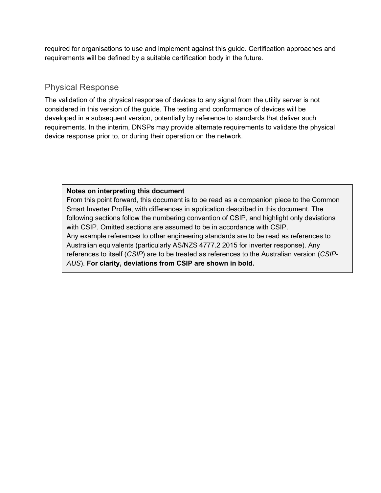required for organisations to use and implement against this guide. Certification approaches and requirements will be defined by a suitable certification body in the future.

#### Physical Response

The validation of the physical response of devices to any signal from the utility server is not considered in this version of the guide. The testing and conformance of devices will be developed in a subsequent version, potentially by reference to standards that deliver such requirements. In the interim, DNSPs may provide alternate requirements to validate the physical device response prior to, or during their operation on the network.

#### **Notes on interpreting this document**

From this point forward, this document is to be read as a companion piece to the Common Smart Inverter Profile, with differences in application described in this document. The following sections follow the numbering convention of CSIP, and highlight only deviations with CSIP. Omitted sections are assumed to be in accordance with CSIP. Any example references to other engineering standards are to be read as references to Australian equivalents (particularly AS/NZS 4777.2 2015 for inverter response). Any references to itself (*CSIP*) are to be treated as references to the Australian version (*CSIP-AUS*). **For clarity, deviations from CSIP are shown in bold.**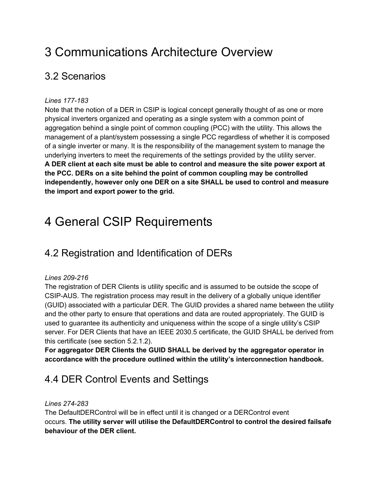## 3 Communications Architecture Overview

### 3.2 Scenarios

#### *Lines 177-183*

Note that the notion of a DER in CSIP is logical concept generally thought of as one or more physical inverters organized and operating as a single system with a common point of aggregation behind a single point of common coupling (PCC) with the utility. This allows the management of a plant/system possessing a single PCC regardless of whether it is composed of a single inverter or many. It is the responsibility of the management system to manage the underlying inverters to meet the requirements of the settings provided by the utility server. **A DER client at each site must be able to control and measure the site power export at the PCC. DERs on a site behind the point of common coupling may be controlled independently, however only one DER on a site SHALL be used to control and measure the import and export power to the grid.**

## 4 General CSIP Requirements

### 4.2 Registration and Identification of DERs

#### *Lines 209-216*

The registration of DER Clients is utility specific and is assumed to be outside the scope of CSIP-AUS. The registration process may result in the delivery of a globally unique identifier (GUID) associated with a particular DER. The GUID provides a shared name between the utility and the other party to ensure that operations and data are routed appropriately. The GUID is used to guarantee its authenticity and uniqueness within the scope of a single utility's CSIP server. For DER Clients that have an IEEE 2030.5 certificate, the GUID SHALL be derived from this certificate (see section 5.2.1.2).

**For aggregator DER Clients the GUID SHALL be derived by the aggregator operator in accordance with the procedure outlined within the utility's interconnection handbook.**

### 4.4 DER Control Events and Settings

#### *Lines 274-283*

The DefaultDERControl will be in effect until it is changed or a DERControl event occurs. **The utility server will utilise the DefaultDERControl to control the desired failsafe behaviour of the DER client.**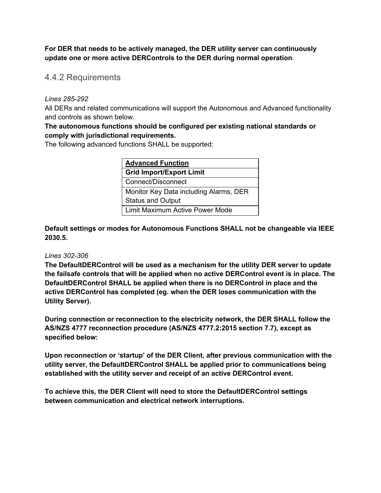**For DER that needs to be actively managed, the DER utility server can continuously update one or more active DERControls to the DER during normal operation**.

4.4.2 Requirements

#### *Lines 285-292*

All DERs and related communications will support the Autonomous and Advanced functionality and controls as shown below.

#### **The autonomous functions should be configured per existing national standards or comply with jurisdictional requirements.**

The following advanced functions SHALL be supported:

| <b>Advanced Function</b>               |  |  |  |
|----------------------------------------|--|--|--|
| <b>Grid Import/Export Limit</b>        |  |  |  |
| Connect/Disconnect                     |  |  |  |
| Monitor Key Data including Alarms, DER |  |  |  |
| <b>Status and Output</b>               |  |  |  |
| Limit Maximum Active Power Mode        |  |  |  |

**Default settings or modes for Autonomous Functions SHALL not be changeable via IEEE 2030.5.**

#### *Lines 302-306*

**The DefaultDERControl will be used as a mechanism for the utility DER server to update the failsafe controls that will be applied when no active DERControl event is in place. The DefaultDERControl SHALL be applied when there is no DERControl in place and the active DERControl has completed (eg. when the DER loses communication with the Utility Server).**

**During connection or reconnection to the electricity network, the DER SHALL follow the AS/NZS 4777 reconnection procedure (AS/NZS 4777.2:2015 section 7.7), except as specified below:**

**Upon reconnection or 'startup' of the DER Client, after previous communication with the utility server, the DefaultDERControl SHALL be applied prior to communications being established with the utility server and receipt of an active DERControl event.** 

**To achieve this, the DER Client will need to store the DefaultDERControl settings between communication and electrical network interruptions.**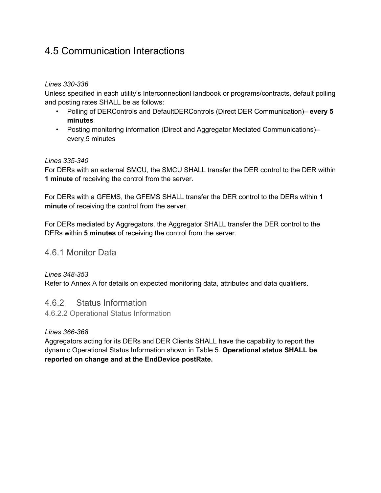### 4.5 Communication Interactions

#### *Lines 330-336*

Unless specified in each utility's InterconnectionHandbook or programs/contracts, default polling and posting rates SHALL be as follows:

- Polling of DERControls and DefaultDERControls (Direct DER Communication)– **every 5 minutes**
- Posting monitoring information (Direct and Aggregator Mediated Communications)– every 5 minutes

#### *Lines 335-340*

For DERs with an external SMCU, the SMCU SHALL transfer the DER control to the DER within **1 minute** of receiving the control from the server.

For DERs with a GFEMS, the GFEMS SHALL transfer the DER control to the DERs within **1 minute** of receiving the control from the server.

For DERs mediated by Aggregators, the Aggregator SHALL transfer the DER control to the DERs within **5 minutes** of receiving the control from the server.

#### 4.6.1 Monitor Data

*Lines 348-353*

Refer to Annex A for details on expected monitoring data, attributes and data qualifiers.

#### 4.6.2 Status Information

4.6.2.2 Operational Status Information

#### *Lines 366-368*

Aggregators acting for its DERs and DER Clients SHALL have the capability to report the dynamic Operational Status Information shown in Table 5. **Operational status SHALL be reported on change and at the EndDevice postRate.**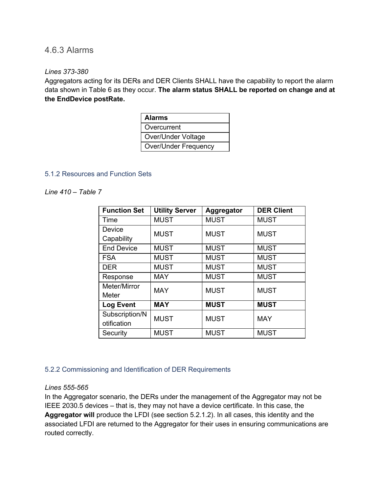#### 4.6.3 Alarms

#### *Lines 373-380*

Aggregators acting for its DERs and DER Clients SHALL have the capability to report the alarm data shown in Table 6 as they occur. **The alarm status SHALL be reported on change and at the EndDevice postRate.**

| <b>Alarms</b>               |
|-----------------------------|
| Overcurrent                 |
| Over/Under Voltage          |
| <b>Over/Under Frequency</b> |

#### 5.1.2 Resources and Function Sets

#### *Line 410 – Table 7*

| <b>Function Set</b> | <b>Utility Server</b> | Aggregator  | <b>DER Client</b> |
|---------------------|-----------------------|-------------|-------------------|
| Time                | <b>MUST</b>           | <b>MUST</b> | <b>MUST</b>       |
| Device              | <b>MUST</b>           | <b>MUST</b> | <b>MUST</b>       |
| Capability          |                       |             |                   |
| <b>End Device</b>   | <b>MUST</b>           | <b>MUST</b> | <b>MUST</b>       |
| <b>FSA</b>          | <b>MUST</b>           | <b>MUST</b> | <b>MUST</b>       |
| <b>DER</b>          | <b>MUST</b>           | <b>MUST</b> | <b>MUST</b>       |
| Response            | <b>MAY</b>            | <b>MUST</b> | <b>MUST</b>       |
| Meter/Mirror        | <b>MAY</b>            | <b>MUST</b> | <b>MUST</b>       |
| Meter               |                       |             |                   |
| <b>Log Event</b>    | <b>MAY</b>            | <b>MUST</b> | <b>MUST</b>       |
| Subscription/N      | <b>MUST</b>           | <b>MUST</b> | <b>MAY</b>        |
| otification         |                       |             |                   |
| Security            | <b>MUST</b>           | <b>MUST</b> | <b>MUST</b>       |

#### 5.2.2 Commissioning and Identification of DER Requirements

#### *Lines 555-565*

In the Aggregator scenario, the DERs under the management of the Aggregator may not be IEEE 2030.5 devices – that is, they may not have a device certificate. In this case, the **Aggregator will** produce the LFDI (see section 5.2.1.2). In all cases, this identity and the associated LFDI are returned to the Aggregator for their uses in ensuring communications are routed correctly.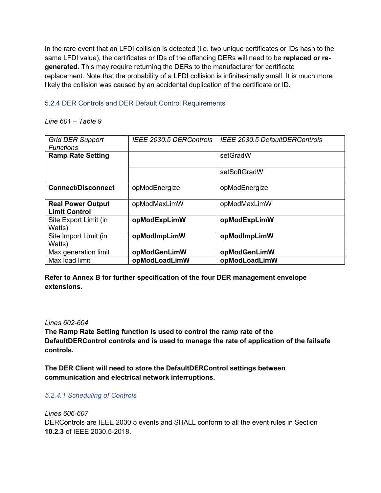In the rare event that an LFDI collision is detected (i.e. two unique certificates or IDs hash to the same LFDI value), the certificates or IDs of the offending DERs will need to be **replaced or regenerated**. This may require returning the DERs to the manufacturer for certificate replacement. Note that the probability of a LFDI collision is infinitesimally small. It is much more likely the collision was caused by an accidental duplication of the certificate or ID.

#### 5.2.4 DER Controls and DER Default Control Requirements

#### *Line 601 – Table 9*

| <b>Grid DER Support</b><br><b>Functions</b>      | IEEE 2030.5 DERControls | IEEE 2030.5 DefaultDERControls |
|--------------------------------------------------|-------------------------|--------------------------------|
| <b>Ramp Rate Setting</b>                         |                         | setGradW                       |
|                                                  |                         | setSoftGradW                   |
| <b>Connect/Disconnect</b>                        | opModEnergize           | opModEnergize                  |
| <b>Real Power Output</b><br><b>Limit Control</b> | opModMaxLimW            | opModMaxLimW                   |
| Site Export Limit (in<br>Watts)                  | opModExpLimW            | opModExpLimW                   |
| Site Import Limit (in<br>Watts)                  | opModImpLimW            | opModImpLimW                   |
| Max generation limit                             | opModGenLimW            | opModGenLimW                   |
| Max load limit                                   | opModLoadLimW           | opModLoadLimW                  |

#### **Refer to Annex B for further specification of the four DER management envelope extensions.**

#### *Lines 602-604*

**The Ramp Rate Setting function is used to control the ramp rate of the DefaultDERControl controls and is used to manage the rate of application of the failsafe controls.**

**The DER Client will need to store the DefaultDERControl settings between communication and electrical network interruptions.**

#### *5.2.4.1 Scheduling of Controls*

*Lines 606-607*

DERControls are IEEE 2030.5 events and SHALL conform to all the event rules in Section **10.2.3** of IEEE 2030.5-2018.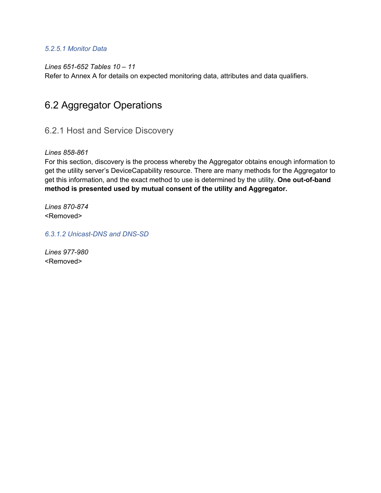#### *5.2.5.1 Monitor Data*

*Lines 651-652 Tables 10 – 11*

Refer to Annex A for details on expected monitoring data, attributes and data qualifiers.

### 6.2 Aggregator Operations

6.2.1 Host and Service Discovery

*Lines 858-861*

For this section, discovery is the process whereby the Aggregator obtains enough information to get the utility server's DeviceCapability resource. There are many methods for the Aggregator to get this information, and the exact method to use is determined by the utility. **One out-of-band method is presented used by mutual consent of the utility and Aggregator.**

*Lines 870-874* <Removed>

*6.3.1.2 Unicast-DNS and DNS-SD*

*Lines 977-980* <Removed>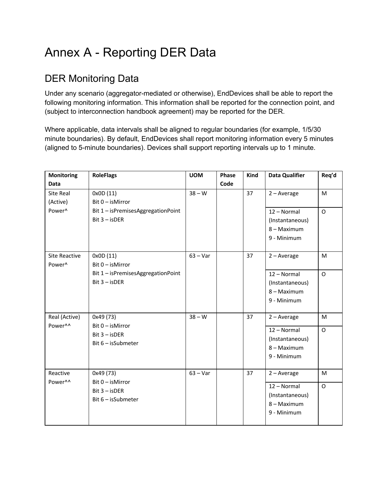## Annex A - Reporting DER Data

### DER Monitoring Data

Under any scenario (aggregator-mediated or otherwise), EndDevices shall be able to report the following monitoring information. This information shall be reported for the connection point, and (subject to interconnection handbook agreement) may be reported for the DER.

Where applicable, data intervals shall be aligned to regular boundaries (for example, 1/5/30 minute boundaries). By default, EndDevices shall report monitoring information every 5 minutes (aligned to 5-minute boundaries). Devices shall support reporting intervals up to 1 minute.

| <b>Monitoring</b>    | <b>RoleFlags</b>                   | <b>UOM</b> | Phase | Kind | <b>Data Qualifier</b>          | Req'd   |
|----------------------|------------------------------------|------------|-------|------|--------------------------------|---------|
| <b>Data</b>          |                                    |            | Code  |      |                                |         |
| Site Real            | 0x0D (11)                          | $38 - W$   |       | 37   | $2 - Average$                  | M       |
| (Active)             | Bit 0 - isMirror                   |            |       |      |                                |         |
| Power <sup>^</sup>   | Bit 1 - isPremisesAggregationPoint |            |       |      | 12 - Normal                    | $\circ$ |
|                      | $Bit 3 - isDER$                    |            |       |      | (Instantaneous)                |         |
|                      |                                    |            |       |      | 8 - Maximum                    |         |
|                      |                                    |            |       |      | 9 - Minimum                    |         |
| <b>Site Reactive</b> | 0x0D (11)                          | $63 - Var$ |       | 37   | $2 - Average$                  | M       |
| Power <sup>^</sup>   | Bit 0 - is Mirror                  |            |       |      |                                |         |
|                      | Bit 1 - isPremisesAggregationPoint |            |       |      | 12 - Normal                    | O       |
|                      | $Bit 3 - isDER$                    |            |       |      | (Instantaneous)                |         |
|                      |                                    |            |       |      | 8 - Maximum                    |         |
|                      |                                    |            |       |      | 9 - Minimum                    |         |
| Real (Active)        | 0x49 (73)                          | $38 - W$   |       | 37   | $2 - Average$                  | M       |
| Power^^              | Bit 0 - isMirror                   |            |       |      | 12 - Normal                    | $\circ$ |
|                      | $Bit 3 - isDER$                    |            |       |      | (Instantaneous)                |         |
|                      | Bit 6 - isSubmeter                 |            |       |      | 8 - Maximum                    |         |
|                      |                                    |            |       |      | 9 - Minimum                    |         |
| Reactive             | 0x49 (73)                          | $63 - Var$ |       | 37   | $2 - Average$                  | M       |
| Power^^              | Bit 0 - isMirror                   |            |       |      | 12 - Normal                    | O       |
|                      | $Bit 3 - isDER$                    |            |       |      |                                |         |
|                      | Bit 6 - isSubmeter                 |            |       |      | (Instantaneous)<br>8 - Maximum |         |
|                      |                                    |            |       |      | 9 - Minimum                    |         |
|                      |                                    |            |       |      |                                |         |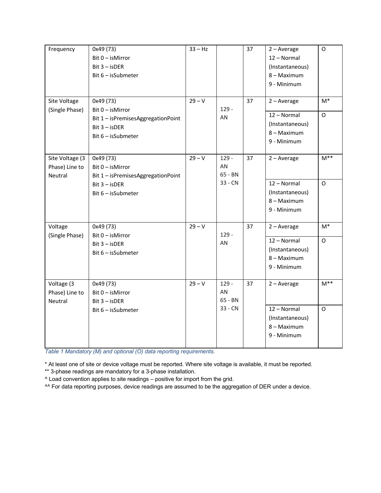| Frequency                                    | 0x49 (73)<br>Bit 0 - isMirror<br>$Bit 3 - isDER$<br>Bit $6$ – is Submeter                                         | $33 - Hz$ |                                     | 37 | $2 - Average$<br>12 - Normal<br>(Instantaneous)<br>8 - Maximum<br>9 - Minimum | $\circ$                |
|----------------------------------------------|-------------------------------------------------------------------------------------------------------------------|-----------|-------------------------------------|----|-------------------------------------------------------------------------------|------------------------|
| Site Voltage<br>(Single Phase)               | 0x49 (73)<br>$Bit 0 - isMirror$<br>Bit 1 - isPremisesAggregationPoint<br>Bit 3 - isDER<br>Bit $6$ – is Submeter   | $29 - V$  | $129 -$<br>AN                       | 37 | $2 - Average$<br>12 - Normal<br>(Instantaneous)<br>8 - Maximum<br>9 - Minimum | M*<br>$\mathsf{O}$     |
| Site Voltage (3<br>Phase) Line to<br>Neutral | 0x49 (73)<br>$Bit 0 - isMirror$<br>Bit 1 - isPremisesAggregationPoint<br>$Bit 3 - isDER$<br>Bit $6$ – is Submeter | $29 - V$  | $129 -$<br>AN<br>65 - BN<br>33 - CN | 37 | $2 - Average$<br>12 - Normal<br>(Instantaneous)<br>8 - Maximum<br>9 - Minimum | $M^**$<br>$\mathsf{O}$ |
| Voltage<br>(Single Phase)                    | 0x49 (73)<br>Bit 0 - isMirror<br>$Bit 3 - isDER$<br>Bit 6 - isSubmeter                                            | $29 - V$  | $129 -$<br>AN                       | 37 | $2 - Average$<br>12 - Normal<br>(Instantaneous)<br>8 - Maximum<br>9 - Minimum | M*<br>$\mathsf{O}$     |
| Voltage (3<br>Phase) Line to<br>Neutral      | 0x49 (73)<br>Bit 0 - isMirror<br>$Bit 3 - isDER$<br>Bit $6$ – is Submeter                                         | $29 - V$  | $129 -$<br>AN<br>65 - BN<br>33 - CN | 37 | $2 - Average$<br>12 - Normal<br>(Instantaneous)<br>8 - Maximum<br>9 - Minimum | $M^*$<br>$\mathsf{O}$  |

*Table 1 Mandatory (M) and optional (O) data reporting requirements.*

\* At least one of site or device voltage must be reported. Where site voltage is available, it must be reported.

\*\* 3-phase readings are mandatory for a 3-phase installation.

^ Load convention applies to site readings – positive for import from the grid.

^^ For data reporting purposes, device readings are assumed to be the aggregation of DER under a device.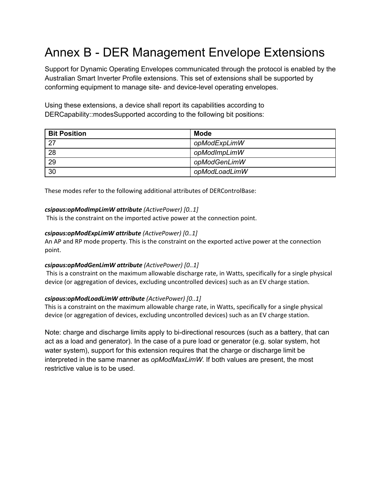## Annex B - DER Management Envelope Extensions

Support for Dynamic Operating Envelopes communicated through the protocol is enabled by the Australian Smart Inverter Profile extensions. This set of extensions shall be supported by conforming equipment to manage site- and device-level operating envelopes.

Using these extensions, a device shall report its capabilities according to DERCapability::modesSupported according to the following bit positions:

| <b>Bit Position</b> | <b>Mode</b>   |
|---------------------|---------------|
| 27                  | opModExpLimW  |
| 28                  | opModImpLimW  |
| 29                  | opModGenLimW  |
| 30                  | opModLoadLimW |

These modes refer to the following additional attributes of DERControlBase:

#### *csipaus:opModImpLimW attribute (ActivePower) [0..1]*

This is the constraint on the imported active power at the connection point.

#### *csipaus:opModExpLimW attribute (ActivePower) [0..1]*

An AP and RP mode property. This is the constraint on the exported active power at the connection point.

#### *csipaus:opModGenLimW attribute (ActivePower) [0..1]*

This is a constraint on the maximum allowable discharge rate, in Watts, specifically for a single physical device (or aggregation of devices, excluding uncontrolled devices) such as an EV charge station.

#### *csipaus:opModLoadLimW attribute (ActivePower) [0..1]*

This is a constraint on the maximum allowable charge rate, in Watts, specifically for a single physical device (or aggregation of devices, excluding uncontrolled devices) such as an EV charge station.

Note: charge and discharge limits apply to bi-directional resources (such as a battery, that can act as a load and generator). In the case of a pure load or generator (e.g. solar system, hot water system), support for this extension requires that the charge or discharge limit be interpreted in the same manner as *opModMaxLimW*. If both values are present, the most restrictive value is to be used.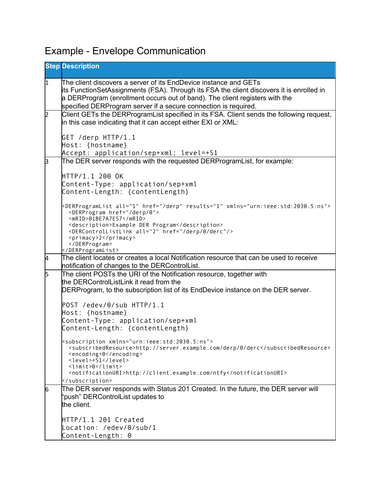## Example - Envelope Communication

|           | <b>Step Description</b>                                                                                                                                                                                                                                                                                        |
|-----------|----------------------------------------------------------------------------------------------------------------------------------------------------------------------------------------------------------------------------------------------------------------------------------------------------------------|
| $\vert$ 1 | The client discovers a server of its EndDevice instance and GETs<br>its FunctionSetAssignments (FSA). Through its FSA the client discovers it is enrolled in<br>a DERProgram (enrollment occurs out of band). The client registers with the<br>specified DERProgram server if a secure connection is required. |
| 2         | Client GETs the DERProgramList specified in its FSA. Client sends the following request,<br>in this case indicating that it can accept either EXI or XML:                                                                                                                                                      |
|           | GET /derp HTTP/1.1<br>Host: {hostname}<br>Accept: application/sep+xml; level=+S1                                                                                                                                                                                                                               |
| ß         | The DER server responds with the requested DERProgramList, for example:                                                                                                                                                                                                                                        |
|           | HTTP/1.1 200 OK<br>Content-Type: application/sep+xml<br>Content-Length: {contentLength}                                                                                                                                                                                                                        |
|           | <derprogramlist all="1" href="/derp" results="1" xmlns="urn:ieee:std:2030.5:ns"><br/><derprogram href="/derp/0"><br/><mrid>01BE7A7E57</mrid><br/><description>Example DER Program</description><br/><dercontrollistlink all="2" href="/derp/0/derc"></dercontrollistlink></derprogram></derprogramlist>        |
|           | <primacy>2</primacy><br><br>                                                                                                                                                                                                                                                                                   |
| 4         | The client locates or creates a local Notification resource that can be used to receive<br>notification of changes to the DERControlList.                                                                                                                                                                      |
| 5         | The client POSTs the URI of the Notification resource, together with<br>the DERControlListLink it read from the                                                                                                                                                                                                |
|           | DERProgram, to the subscription list of its EndDevice instance on the DER server.                                                                                                                                                                                                                              |
|           | POST /edev/0/sub HTTP/1.1<br>Host: {hostname}                                                                                                                                                                                                                                                                  |
|           | Content-Type: application/sep+xml<br>Content-Length: {contentLength}                                                                                                                                                                                                                                           |
|           | <subscription xmlns="urn:ieee:std:2030.5:ns"><br/><subscribedresource>http://server.example.com/derp/0/derc</subscribedresource><br/><encoding>0</encoding><br/><level>+S1</level><br/><math>\langle</math>limit&gt;0</subscription>                                                                           |
|           | <notificationuri>http://client.example.com/ntfy</notificationuri><br>                                                                                                                                                                                                                                          |
| 6         | The DER server responds with Status 201 Created. In the future, the DER server will<br>'push" DERControlList updates to                                                                                                                                                                                        |
|           | the client.                                                                                                                                                                                                                                                                                                    |
|           | HTTP/1.1 201 Created<br>Location: /edev/0/sub/1<br>Content-Length: 0                                                                                                                                                                                                                                           |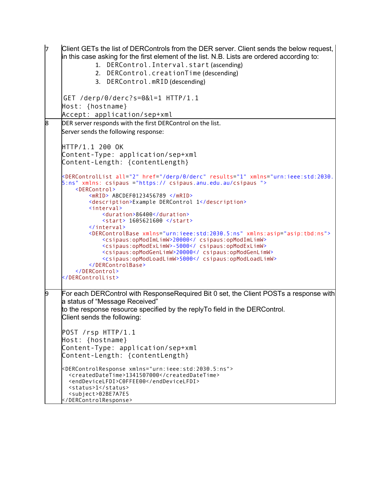```
Client GETs the list of DERControls from the DER server. Client sends the below request,
     in this case asking for the first element of the list. N.B. Lists are ordered according to:
               1. DERControl.Interval.start (ascending)
               2. DERControl.creationTime (descending)
              3. DERControl.mRID (descending)
     GET /derp/0/derc?s=0&l=1 HTTP/1.1
     Host: {hostname}
     Accept: application/sep+xml
8 DER server responds with the first DERControl on the list.
     Server sends the following response:
     HTTP/1.1 200 OK
     Content-Type: application/sep+xml
     Content-Length: {contentLength}
     <DERControlList all="2" href="/derp/0/derc" results="1" xmlns="urn:ieee:std:2030.
     5:ns" xmlns: csipaus ="https:// csipaus.anu.edu.au/csipaus ">
         <DERControl>
              <mRID> ABCDEF0123456789 </mRID>
              <description>Example DERControl 1</description>
              <interval>
                 <duration>86400</duration>
                  <start> 1605621600 </start>
              </interval>
              <DERControlBase xmlns="urn:ieee:std:2030.5:ns" xmlns:asip="asip:tbd:ns">
      <csipaus:opModImLimW>20000</ csipaus:opModImLimW>
      <csipaus:opModExLimW>-5000</ csipaus:opModExLimW>
                 <csipaus:opModGenLimW>20000</ csipaus:opModGenLimW>
                 <csipaus:opModLoadLimW>5000</ csipaus:opModLoadLimW>
              </DERControlBase>
          </DERControl>
     </DERControlList>
9 For each DERControl with ResponseRequired Bit 0 set, the Client POSTs a response with 
     a status of "Message Received"
     to the response resource specified by the replyTo field in the DERControl.
     Client sends the following:
     POST /rsp HTTP/1.1
     Host: {hostname}
     Content-Type: application/sep+xml
     Content-Length: {contentLength}
     <DERControlResponse xmlns="urn:ieee:std:2030.5:ns">
       <createdDateTime>1341507000</createdDateTime>
        <endDeviceLFDI>C0FFEE00</endDeviceLFDI>
        <status>1</status>
        <subject>02BE7A7E5
     </DERControlResponse>
```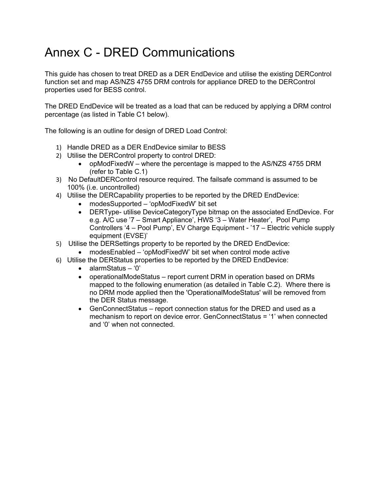## Annex C - DRED Communications

This guide has chosen to treat DRED as a DER EndDevice and utilise the existing DERControl function set and map AS/NZS 4755 DRM controls for appliance DRED to the DERControl properties used for BESS control.

The DRED EndDevice will be treated as a load that can be reduced by applying a DRM control percentage (as listed in Table C1 below).

The following is an outline for design of DRED Load Control:

- 1) Handle DRED as a DER EndDevice similar to BESS
- 2) Utilise the DERControl property to control DRED:
	- opModFixedW where the percentage is mapped to the AS/NZS 4755 DRM (refer to Table C.1)
- 3) No DefaultDERControl resource required. The failsafe command is assumed to be 100% (i.e. uncontrolled)
- 4) Utilise the DERCapability properties to be reported by the DRED EndDevice:
	- modesSupported 'opModFixedW' bit set
	- DERType- utilise DeviceCategoryType bitmap on the associated EndDevice. For e.g. A/C use '7 – Smart Appliance', HWS '3 – Water Heater', Pool Pump Controllers '4 – Pool Pump', EV Charge Equipment - '17 – Electric vehicle supply equipment (EVSE)'
- 5) Utilise the DERSettings property to be reported by the DRED EndDevice:
	- modesEnabled 'opModFixedW' bit set when control mode active
- 6) Utilise the DERStatus properties to be reported by the DRED EndDevice:
	- alarmStatus '0'
	- operationalModeStatus report current DRM in operation based on DRMs mapped to the following enumeration (as detailed in Table C.2). Where there is no DRM mode applied then the 'OperationalModeStatus' will be removed from the DER Status message.
	- GenConnectStatus report connection status for the DRED and used as a mechanism to report on device error. GenConnectStatus = '1' when connected and '0' when not connected.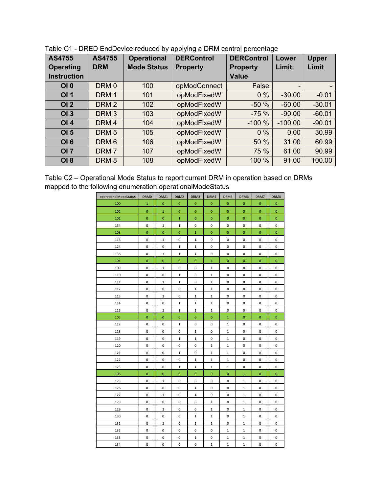| <b>AS4755</b>      | <b>AS4755</b>    | <b>Operational</b> | <b>DERControl</b> | <b>DERControl</b> | Lower     | <b>Upper</b>             |
|--------------------|------------------|--------------------|-------------------|-------------------|-----------|--------------------------|
| <b>Operating</b>   | <b>DRM</b>       | <b>Mode Status</b> | <b>Property</b>   | <b>Property</b>   | Limit     | Limit                    |
| <b>Instruction</b> |                  |                    |                   | <b>Value</b>      |           |                          |
| OI 0               | DRM <sub>0</sub> | 100                | opModConnect      | False             | -         | $\overline{\phantom{0}}$ |
| OI 1               | DRM <sub>1</sub> | 101                | opModFixedW       | $0\%$             | $-30.00$  | $-0.01$                  |
| OI2                | DRM <sub>2</sub> | 102                | opModFixedW       | $-50%$            | $-60.00$  | $-30.01$                 |
| OI3                | DRM <sub>3</sub> | 103                | opModFixedW       | $-75%$            | $-90.00$  | $-60.01$                 |
| OI4                | DRM <sub>4</sub> | 104                | opModFixedW       | $-100%$           | $-100.00$ | $-90.01$                 |
| OI <sub>5</sub>    | DRM <sub>5</sub> | 105                | opModFixedW       | $0\%$             | 0.00      | 30.99                    |
| <b>OI 6</b>        | DRM <sub>6</sub> | 106                | opModFixedW       | 50 %              | 31.00     | 60.99                    |
| <b>OI 7</b>        | DRM <sub>7</sub> | 107                | opModFixedW       | 75 %              | 61.00     | 90.99                    |
| <b>OI 8</b>        | DRM <sub>8</sub> | 108                | opModFixedW       | 100 %             | 91.00     | 100.00                   |

| Table C1 - DRED EndDevice reduced by applying a DRM control percentage |  |
|------------------------------------------------------------------------|--|
|                                                                        |  |

| Table C2 – Operational Mode Status to report current DRM in operation based on DRMs |  |
|-------------------------------------------------------------------------------------|--|
| mapped to the following enumeration operationalModeStatus                           |  |

| operationalModeStatus | DRM0         | DRM1         | DRM2                | DRM3           | DRM4           | DRM5         | DRM6         | DRM7           | DRM8         |
|-----------------------|--------------|--------------|---------------------|----------------|----------------|--------------|--------------|----------------|--------------|
| 100                   | $\mathbf 1$  | $\mathbf 0$  | $\pmb{0}$           | $\mathbf{O}$   | $\mathbf{O}$   | $\pmb{0}$    | $\mathbf 0$  | $\mathbf{0}$   | 0            |
| 101                   | $\mathbf{0}$ | $\mathbf{1}$ | $\overline{0}$      | $\mathbf{0}$   | $\overline{0}$ | $\mathbf 0$  | $\pmb{0}$    | $\overline{0}$ | $\mathbf{0}$ |
| 102                   | $\mathbf 0$  | $\mathbf 0$  | $\mathbf 1$         | $\mathbf{0}$   | $\mathbf{0}$   | $\pmb{0}$    | $\mathbf 0$  | $\mathbf{0}$   | $\mathbf{0}$ |
| 154                   | 0            | $\mathbf 1$  | $\mathbf 1$         | $\pmb{0}$      | 0              | $\pmb{0}$    | 0            | 0              | 0            |
| 103                   | 0            | $\pmb{0}$    | $\pmb{0}$           | $\mathbf 1$    | $\pmb{0}$      | $\pmb{0}$    | $\pmb{0}$    | $\mathbf 0$    | $\pmb{0}$    |
| 116                   | 0            | $\mathbf{1}$ | $\mathbf{0}$        | $\mathbf 1$    | 0              | 0            | 0            | $\mathsf 0$    | $\mathbf 0$  |
| 124                   | 0            | 0            | $\mathbf{1}$        | $1\,$          | 0              | 0            | 0            | 0              | 0            |
| 136                   | 0            | $\mathbf{1}$ | $\mathbf 1$         | $\mathbf 1$    | 0              | 0            | 0            | 0              | 0            |
| 104                   | $\mathbf 0$  | $\mathbf 0$  | $\pmb{0}$           | 0              | $\mathbf{1}$   | $\mathbf 0$  | $\mathbf 0$  | $\mathbf{O}$   | $\mathbf{0}$ |
| 109                   | 0            | $\mathbf{1}$ | 0                   | 0              | $\mathbf{1}$   | 0            | 0            | 0              | 0            |
| 110                   | 0            | 0            | $\mathbf 1$         | 0              | $\mathbf{1}$   | 0            | 0            | 0              | $\mathsf 0$  |
| 111                   | 0            | $\mathbf{1}$ | $\mathbf{1}$        | 0              | $\mathbf{1}$   | $\pmb{0}$    | 0            | 0              | 0            |
| 112                   | 0            | 0            | 0                   | $\mathbf 1$    | $\mathbf 1$    | 0            | 0            | 0              | 0            |
| 113                   | 0            | $1\,$        | 0                   | $\mathbf 1$    | $\mathbf 1$    | 0            | 0            | 0              | 0            |
| 114                   | 0            | 0            | $\mathbf{1}$        | $\mathbf{1}$   | $\mathbf 1$    | $\pmb{0}$    | 0            | 0              | 0            |
| 115                   | 0            | $\mathbf{1}$ | $\mathbf 1$         | $\mathbf{1}$   | $\mathbf{1}$   | $\pmb{0}$    | $\mathsf 0$  | $\mathsf 0$    | 0            |
| 105                   | $\mathbf 0$  | $\mathbf{O}$ | $\mathbf{0}$        | $\overline{0}$ | $\overline{0}$ | $\mathbf 1$  | $\mathbf 0$  | $\mathbf{0}$   | $\mathbf{0}$ |
| 117                   | 0            | 0            | $\mathbf 1$         | 0              | 0              | $\mathbf{1}$ | $\pmb{0}$    | 0              | 0            |
| 118                   | 0            | 0            | $\pmb{0}$           | $\mathbf 1$    | 0              | $\mathbf 1$  | $\pmb{0}$    | 0              | 0            |
| 119                   | $\mathsf 0$  | 0            | $\mathbf 1$         | $\mathbf 1$    | 0              | $\mathbf 1$  | 0            | $\mathsf 0$    | 0            |
| 120                   | 0            | 0            | $\mathsf 0$         | 0              | $\mathbf{1}$   | $\mathbf{1}$ | 0            | 0              | 0            |
| 121                   | 0            | 0            | $\mathbf 1$         | 0              | $\mathbf{1}$   | $\mathbf 1$  | 0            | 0              | 0            |
| 122                   | 0            | 0            | $\mathbf 0$         | $\mathbf 1$    | $\mathbf 1$    | $\mathbf 1$  | 0            | 0              | 0            |
| 123                   | 0            | 0            | $\mathbf 1$         | $\mathbf 1$    | $\mathbf 1$    | $\mathbf 1$  | $\mathsf 0$  | 0              | 0            |
| 106                   | $\mathbf 0$  | $\mathbf{0}$ | $\mathbf 0$         | $\mathbf 0$    | $\mathbf{0}$   | $\mathbf 0$  | $\mathbf{1}$ | $\overline{0}$ | $\mathbf{0}$ |
| 125                   | 0            | $\mathbf{1}$ | 0                   | 0              | 0              | 0            | 1            | 0              | 0            |
| 126                   | 0            | 0            | 0                   | $\mathbf 1$    | 0              | $\pmb{0}$    | $\mathbf 1$  | 0              | 0            |
| 127                   | 0            | $\mathbf{1}$ | $\mathsf 0$         | $\mathbf 1$    | 0              | $\pmb{0}$    | $\mathbf 1$  | 0              | 0            |
| 128                   | 0            | 0            | 0                   | 0              | $\mathbf 1$    | 0            | $\mathbf 1$  | 0              | 0            |
| 129                   | 0            | $\mathbf 1$  | $\mathsf 0$         | 0              | $1\,$          | $\pmb{0}$    | $\mathbf{1}$ | 0              | 0            |
| 130                   | 0            | 0            | $\mathsf{O}\xspace$ | $\mathbf{1}$   | $\mathbf{1}$   | 0            | $\mathbf{1}$ | 0              | 0            |
| 131                   | 0            | $1\,$        | $\mathsf{O}\xspace$ | $\mathbf 1$    | $\mathbf 1$    | 0            | $1\,$        | 0              | 0            |
| 132                   | 0            | 0            | $\pmb{0}$           | 0              | 0              | $\mathbf 1$  | $\mathbf 1$  | 0              | 0            |
| 133                   | 0            | 0            | $\pmb{0}$           | $\mathbf 1$    | 0              | $\mathbf 1$  | $\mathbf 1$  | 0              | 0            |
| 134                   | 0            | 0            | 0                   | 0              | $\mathbf{1}$   | $\mathbf 1$  | $\mathbf 1$  | 0              | 0            |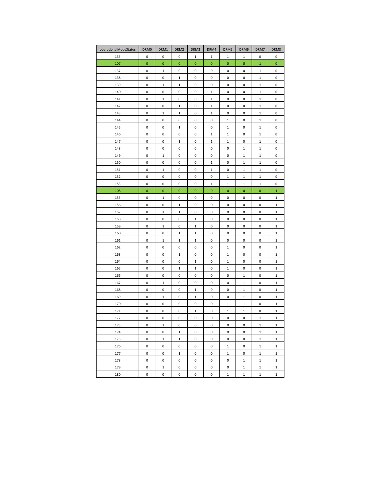| operationalModeStatus | DRM0        | DRM1                | DRM2         | DRM3             | DRM4         | DRM5             | DRM6         | DRM7             | DRM8               |
|-----------------------|-------------|---------------------|--------------|------------------|--------------|------------------|--------------|------------------|--------------------|
| 135                   | 0           | 0                   | 0            | $\mathbf{1}$     | $\mathbf{1}$ | 1                | 1            | 0                | 0                  |
| 107                   | $\mathbf 0$ | $\pmb{0}$           | 0            | $\bf{0}$         | 0            | $\pmb{0}$        | $\bf{0}$     | $\mathbf{1}$     | $\pmb{0}$          |
| 137                   | 0           | 1                   | 0            | 0                | 0            | 0                | 0            | 1                | 0                  |
| 138                   | 0           | 0                   | 1            | 0                | 0            | 0                | 0            | 1                | 0                  |
| 139                   | 0           | $\mathbf 1$         | 1            | 0                | 0            | 0                | 0            | $1\,$            | 0                  |
| 140                   | 0           | 0                   | 0            | $\pmb{0}$        | $\mathbf 1$  | 0                | 0            | $\mathbf 1$      | 0                  |
| 141                   | 0           | $\mathbf 1$         | 0            | $\pmb{0}$        | $\mathbf 1$  | 0                | 0            | $\mathbf 1$      | 0                  |
| 142                   | 0           | 0                   | $\mathbf{1}$ | 0                | $\mathbf 1$  | 0                | 0            | $\mathbf 1$      | 0                  |
| 143                   | 0           | $\mathbf 1$         | $\mathbf 1$  | $\pmb{0}$        | $\mathbf 1$  | 0                | 0            | $\mathbf 1$      | 0                  |
| 144                   | 0           | 0                   | 0            | 0                | 0            | 1                | 0            | 1                | 0                  |
| 145                   | 0           | 0                   | 1            | 0                | 0            | 1                | 0            | 1                | 0                  |
| 146                   | 0           | 0                   | 0            | 0                | $1\,$        | $\mathbf{1}$     | 0            | $1\,$            | 0                  |
| 147                   | 0           | 0                   | 1            | 0                | 1            | 1                | 0            | 1                | 0                  |
| 148                   | 0           | 0                   | 0            | 0                | 0            | 0                | 1            | $1\,$            | 0                  |
| 149                   | 0           | $\mathbf{1}$        | 0            | 0                | 0            | 0                | $\mathbf 1$  | $\mathbf 1$      | 0                  |
| 150                   | 0           | 0                   | 0            | $\pmb{0}$        | $\mathbf 1$  | 0                | $\mathbf 1$  | $\mathbf 1$      | $\pmb{0}$          |
| 151                   | 0           | 1                   | 0            | 0                | $\mathbf{1}$ | 0                | 1            | 1                | 0                  |
| 152                   | 0           | 0                   | 0            | 0                | 0            | $\mathbf 1$      | 1            | 1                | 0                  |
| 153                   | 0           | 0                   | 0            | 0                | $\mathbf 1$  | $\mathbf 1$      | $\,1\,$      | $\mathbf 1$      | 0                  |
| 108                   | $\mathbf 0$ | 0                   | 0            | $\bf{0}$         | 0            | 0                | $\bf{0}$     | 0                | 1                  |
| 155                   | 0           | $\mathbf{1}$        | 0            | 0                | 0            | 0                | 0            | 0                | $\,1\,$            |
| 156                   | 0           | 0                   | 1            | 0                | 0            | 0                | 0            | 0                | 1                  |
| 157                   | 0           | $\mathbf{1}$        | 1            | $\pmb{0}$        | 0            | 0                | 0            | 0                | $\mathbf 1$        |
| 158                   | 0           | 0                   | 0            | $\mathbf 1$      | 0            | 0                | 0            | 0                | $\,1\,$            |
| 159                   | $\pmb{0}$   | $\mathbf 1$         | 0            | $\mathbf 1$      | 0            | 0                | 0            | 0                | $\mathbf 1$        |
| 160                   | 0           | 0                   | $\mathbf 1$  | $\mathbf 1$      | 0            | 0                | 0            | 0                | $\,1\,$            |
| 161                   | 0           | $\mathbf{1}$        | $\mathbf 1$  | $\,1\,$          | 0            | 0                | 0            | 0                | $\,1\,$            |
| 162                   | 0           | 0                   | 0            | 0                | 0            | $\mathbf 1$      | 0            | 0                | $\mathbf 1$        |
| 163                   | 0           | 0                   | 1            | 0                | 0            | 1                | 0            | 0                | 1                  |
| 164                   | 0           | 0                   | 0            | $\,1\,$          | 0            | $\mathbf 1$      | 0            | 0                | $\mathbf 1$        |
| 165                   | 0           | 0                   | 1            | 1                | 0            | 1                | 0            | 0                | 1                  |
| 166                   | 0           | 0                   | 0            | 0                | 0            | 0                | 1            | 0                | 1                  |
| 167                   | 0           | $\mathbf{1}$        | 0            | 0                | 0            | 0                | 1            | 0                | $\,1\,$            |
| 168                   | 0           | $\pmb{0}$           | 0            | $\mathbf 1$      | 0            | 0                | 1            | 0                | $\,1\,$            |
| 169                   | 0           | $\mathbf 1$         | 0            | $\,1\,$          | 0            | 0                | $\mathbf 1$  | 0                | $\,1\,$            |
| 170                   | 0           | 0                   | 0            | 0                | 0            | $\mathbf{1}$     | 1            | 0                | $\mathbf{1}$       |
| 171<br>172            | 0<br>0      | 0<br>0              | 0<br>0       | $\mathbf 1$<br>0 | 0<br>0       | $\mathbf 1$<br>0 | 1<br>0       | 0<br>$\mathbf 1$ | $\,1\,$<br>$\,1\,$ |
| 173                   | 0           | $\mathbf 1$         | 0            | 0                | 0            | 0                | 0            | $\mathbf 1$      | 1                  |
| 174                   | 0           | $\pmb{0}$           | $\mathbf 1$  | 0                | 0            | 0                | 0            | $\mathbf 1$      | $\mathbf{1}$       |
| 175                   | 0           | $\mathbf 1$         | $\mathbf 1$  | 0                | 0            | 0                | 0            | $\mathbf 1$      | $\mathbf 1$        |
| 176                   | 0           | $\mathsf{O}\xspace$ | 0            | 0                | 0            | $\mathbf{1}$     | 0            | $\mathbf 1$      | $\mathbf 1$        |
| 177                   | 0           | 0                   | $\mathbf 1$  | 0                | 0            | $\mathbf 1$      | 0            | $\mathbf{1}$     | $\,1\,$            |
| 178                   | 0           | 0                   | 0            | $\pmb{0}$        | 0            | 0                | $\mathbf 1$  | $\mathbf 1$      | $\,1\,$            |
| 179                   | 0           | $\mathbf{1}$        | 0            | 0                | 0            | 0                | $\mathbf{1}$ | $\mathbf{1}$     | $1\,$              |
| 180                   | 0           | 0                   | $\mathsf 0$  | $\pmb{0}$        | 0            | $\mathbf 1$      | $\mathbf 1$  | $\mathbf 1$      | $\mathbf 1$        |